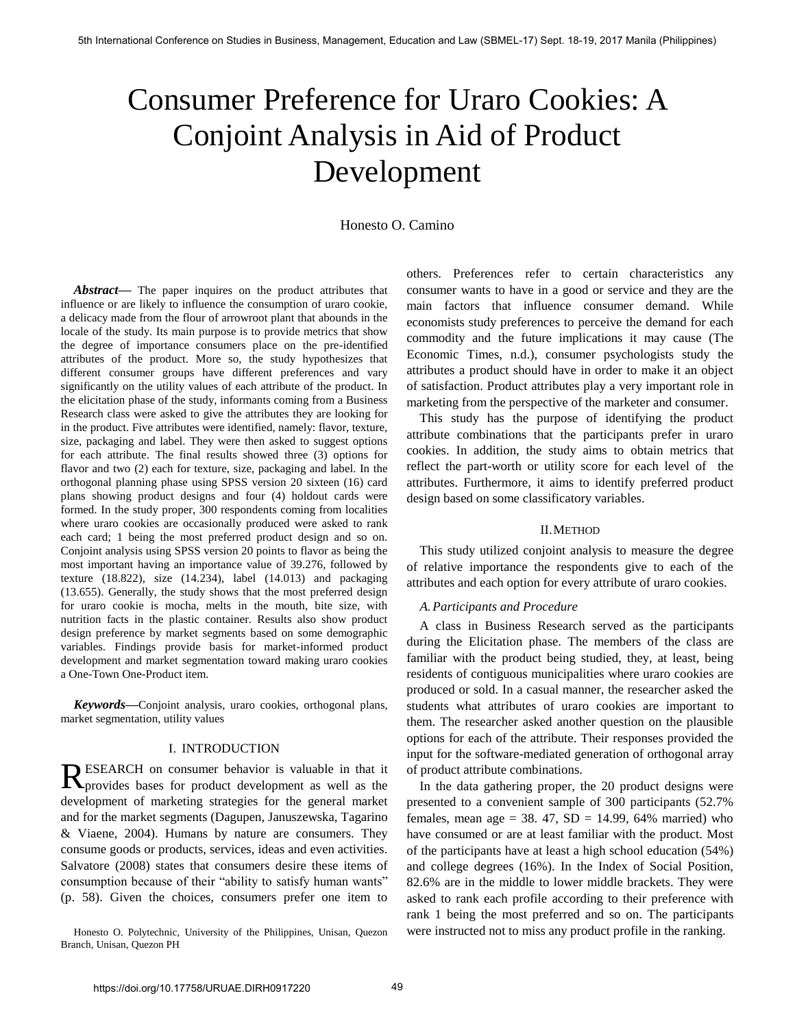# Consumer Preference for Uraro Cookies: A Conjoint Analysis in Aid of Product Development

Honesto O. Camino

*Abstract***—** The paper inquires on the product attributes that influence or are likely to influence the consumption of uraro cookie, a delicacy made from the flour of arrowroot plant that abounds in the locale of the study. Its main purpose is to provide metrics that show the degree of importance consumers place on the pre-identified attributes of the product. More so, the study hypothesizes that different consumer groups have different preferences and vary significantly on the utility values of each attribute of the product. In the elicitation phase of the study, informants coming from a Business Research class were asked to give the attributes they are looking for in the product. Five attributes were identified, namely: flavor, texture, size, packaging and label. They were then asked to suggest options for each attribute. The final results showed three (3) options for flavor and two (2) each for texture, size, packaging and label. In the orthogonal planning phase using SPSS version 20 sixteen (16) card plans showing product designs and four (4) holdout cards were formed. In the study proper, 300 respondents coming from localities where uraro cookies are occasionally produced were asked to rank each card; 1 being the most preferred product design and so on. Conjoint analysis using SPSS version 20 points to flavor as being the most important having an importance value of 39.276, followed by texture (18.822), size (14.234), label (14.013) and packaging (13.655). Generally, the study shows that the most preferred design for uraro cookie is mocha, melts in the mouth, bite size, with nutrition facts in the plastic container. Results also show product design preference by market segments based on some demographic variables. Findings provide basis for market-informed product development and market segmentation toward making uraro cookies a One-Town One-Product item.

*Keywords***—**Conjoint analysis, uraro cookies, orthogonal plans, market segmentation, utility values

## I. INTRODUCTION

ESEARCH on consumer behavior is valuable in that it RESEARCH on consumer behavior is valuable in that it provides bases for product development as well as the development of marketing strategies for the general market and for the market segments (Dagupen, Januszewska, Tagarino & Viaene, 2004). Humans by nature are consumers. They consume goods or products, services, ideas and even activities. Salvatore (2008) states that consumers desire these items of consumption because of their "ability to satisfy human wants" (p. 58). Given the choices, consumers prefer one item to

Honesto O. Polytechnic, University of the Philippines, Unisan, Quezon Branch, Unisan, Quezon PH

others. Preferences refer to certain characteristics any consumer wants to have in a good or service and they are the main factors that influence consumer demand. While economists study preferences to perceive the demand for each commodity and the future implications it may cause (The Economic Times, n.d.), consumer psychologists study the attributes a product should have in order to make it an object of satisfaction. Product attributes play a very important role in marketing from the perspective of the marketer and consumer.

This study has the purpose of identifying the product attribute combinations that the participants prefer in uraro cookies. In addition, the study aims to obtain metrics that reflect the part-worth or utility score for each level of the attributes. Furthermore, it aims to identify preferred product design based on some classificatory variables.

#### II.METHOD

This study utilized conjoint analysis to measure the degree of relative importance the respondents give to each of the attributes and each option for every attribute of uraro cookies.

## *A.Participants and Procedure*

A class in Business Research served as the participants during the Elicitation phase. The members of the class are familiar with the product being studied, they, at least, being residents of contiguous municipalities where uraro cookies are produced or sold. In a casual manner, the researcher asked the students what attributes of uraro cookies are important to them. The researcher asked another question on the plausible options for each of the attribute. Their responses provided the input for the software-mediated generation of orthogonal array of product attribute combinations.

In the data gathering proper, the 20 product designs were presented to a convenient sample of 300 participants (52.7% females, mean age = 38. 47,  $SD = 14.99$ , 64% married) who have consumed or are at least familiar with the product. Most of the participants have at least a high school education (54%) and college degrees (16%). In the Index of Social Position, 82.6% are in the middle to lower middle brackets. They were asked to rank each profile according to their preference with rank 1 being the most preferred and so on. The participants were instructed not to miss any product profile in the ranking.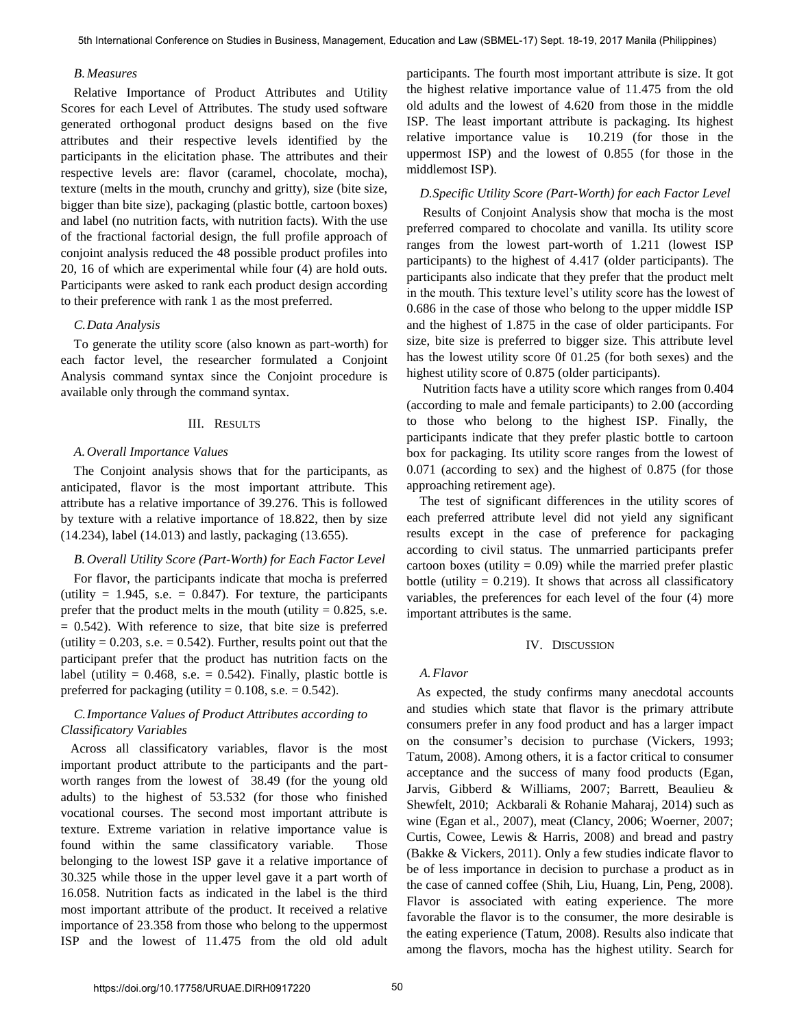### *B.Measures*

Relative Importance of Product Attributes and Utility Scores for each Level of Attributes. The study used software generated orthogonal product designs based on the five attributes and their respective levels identified by the participants in the elicitation phase. The attributes and their respective levels are: flavor (caramel, chocolate, mocha), texture (melts in the mouth, crunchy and gritty), size (bite size, bigger than bite size), packaging (plastic bottle, cartoon boxes) and label (no nutrition facts, with nutrition facts). With the use of the fractional factorial design, the full profile approach of conjoint analysis reduced the 48 possible product profiles into 20, 16 of which are experimental while four (4) are hold outs. Participants were asked to rank each product design according to their preference with rank 1 as the most preferred.

#### *C.Data Analysis*

To generate the utility score (also known as part-worth) for each factor level, the researcher formulated a Conjoint Analysis command syntax since the Conjoint procedure is available only through the command syntax.

#### III. RESULTS

### *A.Overall Importance Values*

The Conjoint analysis shows that for the participants, as anticipated, flavor is the most important attribute. This attribute has a relative importance of 39.276. This is followed by texture with a relative importance of 18.822, then by size (14.234), label (14.013) and lastly, packaging (13.655).

## *B.Overall Utility Score (Part-Worth) for Each Factor Level*

 For flavor, the participants indicate that mocha is preferred (utility  $= 1.945$ , s.e.  $= 0.847$ ). For texture, the participants prefer that the product melts in the mouth (utility  $= 0.825$ , s.e.  $= 0.542$ ). With reference to size, that bite size is preferred (utility  $= 0.203$ , s.e.  $= 0.542$ ). Further, results point out that the participant prefer that the product has nutrition facts on the label (utility  $= 0.468$ , s.e.  $= 0.542$ ). Finally, plastic bottle is preferred for packaging (utility  $= 0.108$ , s.e.  $= 0.542$ ).

# *C.Importance Values of Product Attributes according to Classificatory Variables*

 Across all classificatory variables, flavor is the most important product attribute to the participants and the partworth ranges from the lowest of 38.49 (for the young old adults) to the highest of 53.532 (for those who finished vocational courses. The second most important attribute is texture. Extreme variation in relative importance value is found within the same classificatory variable. Those belonging to the lowest ISP gave it a relative importance of 30.325 while those in the upper level gave it a part worth of 16.058. Nutrition facts as indicated in the label is the third most important attribute of the product. It received a relative importance of 23.358 from those who belong to the uppermost ISP and the lowest of 11.475 from the old old adult

participants. The fourth most important attribute is size. It got the highest relative importance value of 11.475 from the old old adults and the lowest of 4.620 from those in the middle ISP. The least important attribute is packaging. Its highest relative importance value is 10.219 (for those in the uppermost ISP) and the lowest of 0.855 (for those in the middlemost ISP).

## *D.Specific Utility Score (Part-Worth) for each Factor Level*

 Results of Conjoint Analysis show that mocha is the most preferred compared to chocolate and vanilla. Its utility score ranges from the lowest part-worth of 1.211 (lowest ISP participants) to the highest of 4.417 (older participants). The participants also indicate that they prefer that the product melt in the mouth. This texture level's utility score has the lowest of 0.686 in the case of those who belong to the upper middle ISP and the highest of 1.875 in the case of older participants. For size, bite size is preferred to bigger size. This attribute level has the lowest utility score 0f 01.25 (for both sexes) and the highest utility score of 0.875 (older participants).

 Nutrition facts have a utility score which ranges from 0.404 (according to male and female participants) to 2.00 (according to those who belong to the highest ISP. Finally, the participants indicate that they prefer plastic bottle to cartoon box for packaging. Its utility score ranges from the lowest of 0.071 (according to sex) and the highest of 0.875 (for those approaching retirement age).

The test of significant differences in the utility scores of each preferred attribute level did not yield any significant results except in the case of preference for packaging according to civil status. The unmarried participants prefer cartoon boxes (utility  $= 0.09$ ) while the married prefer plastic bottle (utility  $= 0.219$ ). It shows that across all classificatory variables, the preferences for each level of the four (4) more important attributes is the same.

#### IV. DISCUSSION

#### *A.Flavor*

 As expected, the study confirms many anecdotal accounts and studies which state that flavor is the primary attribute consumers prefer in any food product and has a larger impact on the consumer's decision to purchase (Vickers, 1993; Tatum, 2008). Among others, it is a factor critical to consumer acceptance and the success of many food products (Egan, Jarvis, Gibberd & Williams, 2007; Barrett, Beaulieu & Shewfelt, 2010; Ackbarali & Rohanie Maharaj, 2014) such as wine (Egan et al., 2007), meat (Clancy, 2006; Woerner, 2007; Curtis, Cowee, Lewis & Harris, 2008) and bread and pastry (Bakke & Vickers, 2011). Only a few studies indicate flavor to be of less importance in decision to purchase a product as in the case of canned coffee (Shih, Liu, Huang, Lin, Peng, 2008). Flavor is associated with eating experience. The more favorable the flavor is to the consumer, the more desirable is the eating experience (Tatum, 2008). Results also indicate that among the flavors, mocha has the highest utility. Search for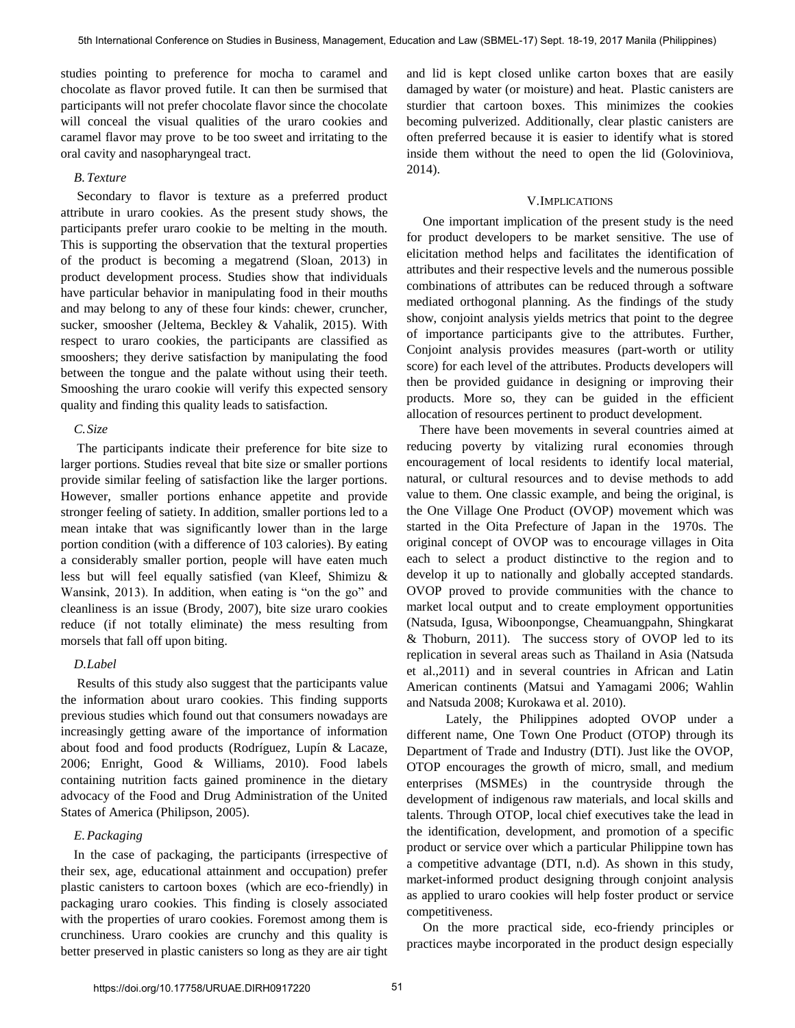studies pointing to preference for mocha to caramel and chocolate as flavor proved futile. It can then be surmised that participants will not prefer chocolate flavor since the chocolate will conceal the visual qualities of the uraro cookies and caramel flavor may prove to be too sweet and irritating to the oral cavity and nasopharyngeal tract.

## *B.Texture*

 Secondary to flavor is texture as a preferred product attribute in uraro cookies. As the present study shows, the participants prefer uraro cookie to be melting in the mouth. This is supporting the observation that the textural properties of the product is becoming a megatrend (Sloan, 2013) in product development process. Studies show that individuals have particular behavior in manipulating food in their mouths and may belong to any of these four kinds: chewer, cruncher, sucker, smoosher (Jeltema, Beckley & Vahalik, 2015). With respect to uraro cookies, the participants are classified as smooshers; they derive satisfaction by manipulating the food between the tongue and the palate without using their teeth. Smooshing the uraro cookie will verify this expected sensory quality and finding this quality leads to satisfaction.

# *C.Size*

 The participants indicate their preference for bite size to larger portions. Studies reveal that bite size or smaller portions provide similar feeling of satisfaction like the larger portions. However, smaller portions enhance appetite and provide stronger feeling of satiety. In addition, smaller portions led to a mean intake that was significantly lower than in the large portion condition (with a difference of 103 calories). By eating a considerably smaller portion, people will have eaten much less but will feel equally satisfied (van Kleef, Shimizu & Wansink, 2013). In addition, when eating is "on the go" and cleanliness is an issue (Brody, 2007), bite size uraro cookies reduce (if not totally eliminate) the mess resulting from morsels that fall off upon biting.

## *D.Label*

 Results of this study also suggest that the participants value the information about uraro cookies. This finding supports previous studies which found out that consumers nowadays are increasingly getting aware of the importance of information about food and food products (Rodríguez, Lupín & Lacaze, 2006; Enright, Good & Williams, 2010). Food labels containing nutrition facts gained prominence in the dietary advocacy of the Food and Drug Administration of the United States of America (Philipson, 2005).

## *E.Packaging*

 In the case of packaging, the participants (irrespective of their sex, age, educational attainment and occupation) prefer plastic canisters to cartoon boxes (which are eco-friendly) in packaging uraro cookies. This finding is closely associated with the properties of uraro cookies. Foremost among them is crunchiness. Uraro cookies are crunchy and this quality is better preserved in plastic canisters so long as they are air tight

and lid is kept closed unlike carton boxes that are easily damaged by water (or moisture) and heat. Plastic canisters are sturdier that cartoon boxes. This minimizes the cookies becoming pulverized. Additionally, clear plastic canisters are often preferred because it is easier to identify what is stored inside them without the need to open the lid (Goloviniova, 2014).

#### V.IMPLICATIONS

 One important implication of the present study is the need for product developers to be market sensitive. The use of elicitation method helps and facilitates the identification of attributes and their respective levels and the numerous possible combinations of attributes can be reduced through a software mediated orthogonal planning. As the findings of the study show, conjoint analysis yields metrics that point to the degree of importance participants give to the attributes. Further, Conjoint analysis provides measures (part-worth or utility score) for each level of the attributes. Products developers will then be provided guidance in designing or improving their products. More so, they can be guided in the efficient allocation of resources pertinent to product development.

 There have been movements in several countries aimed at reducing poverty by vitalizing rural economies through encouragement of local residents to identify local material, natural, or cultural resources and to devise methods to add value to them. One classic example, and being the original, is the One Village One Product (OVOP) movement which was started in the Oita Prefecture of Japan in the 1970s. The original concept of OVOP was to encourage villages in Oita each to select a product distinctive to the region and to develop it up to nationally and globally accepted standards. OVOP proved to provide communities with the chance to market local output and to create employment opportunities (Natsuda, Igusa, Wiboonpongse, Cheamuangpahn, Shingkarat & Thoburn, 2011). The success story of OVOP led to its replication in several areas such as Thailand in Asia (Natsuda et al.,2011) and in several countries in African and Latin American continents (Matsui and Yamagami 2006; Wahlin and Natsuda 2008; Kurokawa et al. 2010).

 Lately, the Philippines adopted OVOP under a different name, One Town One Product (OTOP) through its Department of Trade and Industry (DTI). Just like the OVOP, OTOP encourages the growth of micro, small, and medium enterprises (MSMEs) in the countryside through the development of indigenous raw materials, and local skills and talents. Through OTOP, local chief executives take the lead in the identification, development, and promotion of a specific product or service over which a particular Philippine town has a competitive advantage (DTI, n.d). As shown in this study, market-informed product designing through conjoint analysis as applied to uraro cookies will help foster product or service competitiveness.

 On the more practical side, eco-friendy principles or practices maybe incorporated in the product design especially